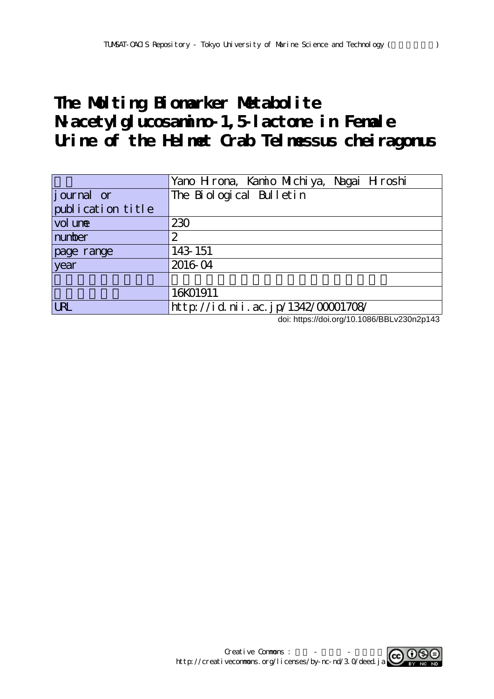# The Molting Bionarker Metabolite **N-acetylglucosamino-1,5-lactone in Female Urine of the Helmet Crab Telmessus cheiragonus**

|                   | Yano Hrona, Kanio Michiya, Nagai Hroshi |
|-------------------|-----------------------------------------|
| journal or        | The Biological Bulletin                 |
| publication title |                                         |
| vol une           | 230                                     |
| number            | 2                                       |
| page range        | 143 151                                 |
| year              | 2016-04                                 |
|                   |                                         |
|                   | 16K01911                                |
| <b>LRL</b>        | http://id.nii.ac.jp/1342/00001708/      |

doi: https://doi.org/10.1086/BBLv230n2p143

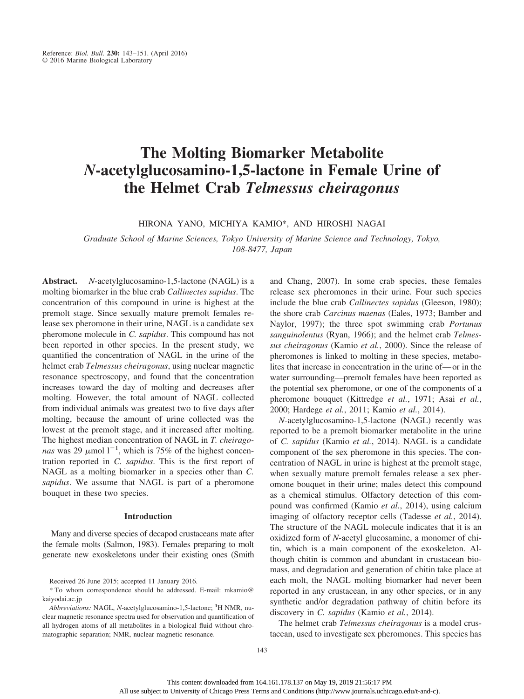# **The Molting Biomarker Metabolite** *N***-acetylglucosamino-1,5-lactone in Female Urine of the Helmet Crab** *Telmessus cheiragonus*

HIRONA YANO, MICHIYA KAMIO\*, AND HIROSHI NAGAI

*Graduate School of Marine Sciences, Tokyo University of Marine Science and Technology, Tokyo, 108-8477, Japan*

**Abstract.** *N*-acetylglucosamino-1,5-lactone (NAGL) is a molting biomarker in the blue crab *Callinectes sapidus*. The concentration of this compound in urine is highest at the premolt stage. Since sexually mature premolt females release sex pheromone in their urine, NAGL is a candidate sex pheromone molecule in *C. sapidus*. This compound has not been reported in other species. In the present study, we quantified the concentration of NAGL in the urine of the helmet crab *Telmessus cheiragonus*, using nuclear magnetic resonance spectroscopy, and found that the concentration increases toward the day of molting and decreases after molting. However, the total amount of NAGL collected from individual animals was greatest two to five days after molting, because the amount of urine collected was the lowest at the premolt stage, and it increased after molting. The highest median concentration of NAGL in *T. cheiragonas* was 29  $\mu$ mol 1<sup>-1</sup>, which is 75% of the highest concentration reported in *C. sapidus*. This is the first report of NAGL as a molting biomarker in a species other than *C. sapidus*. We assume that NAGL is part of a pheromone bouquet in these two species.

#### **Introduction**

Many and diverse species of decapod crustaceans mate after the female molts (Salmon, 1983). Females preparing to molt generate new exoskeletons under their existing ones (Smith

\* To whom correspondence should be addressed. E-mail: [mkamio@](mailto:mkamio@kaiyodai.ac.jp) [kaiyodai.ac.jp](mailto:mkamio@kaiyodai.ac.jp)

and Chang, 2007). In some crab species, these females release sex pheromones in their urine. Four such species include the blue crab *Callinectes sapidus* (Gleeson, 1980); the shore crab *Carcinus maenas* (Eales, 1973; Bamber and Naylor, 1997); the three spot swimming crab *Portunus sanguinolentus* (Ryan, 1966); and the helmet crab *Telmessus cheiragonus* (Kamio *et al.*, 2000). Since the release of pheromones is linked to molting in these species, metabolites that increase in concentration in the urine of—or in the water surrounding––premolt females have been reported as the potential sex pheromone, or one of the components of a pheromone bouquet (Kittredge *et al.*, 1971; Asai *et al.*, 2000; Hardege *et al.*, 2011; Kamio *et al.*, 2014).

*N*-acetylglucosamino-1,5-lactone (NAGL) recently was reported to be a premolt biomarker metabolite in the urine of *C. sapidus* (Kamio *et al.*, 2014). NAGL is a candidate component of the sex pheromone in this species. The concentration of NAGL in urine is highest at the premolt stage, when sexually mature premolt females release a sex pheromone bouquet in their urine; males detect this compound as a chemical stimulus. Olfactory detection of this compound was confirmed (Kamio *et al.*, 2014), using calcium imaging of olfactory receptor cells (Tadesse *et al.*, 2014). The structure of the NAGL molecule indicates that it is an oxidized form of *N*-acetyl glucosamine, a monomer of chitin, which is a main component of the exoskeleton. Although chitin is common and abundant in crustacean biomass, and degradation and generation of chitin take place at each molt, the NAGL molting biomarker had never been reported in any crustacean, in any other species, or in any synthetic and/or degradation pathway of chitin before its discovery in *C. sapidus* (Kamio *et al.*, 2014).

The helmet crab *Telmessus cheiragonus* is a model crustacean, used to investigate sex pheromones. This species has

Received 26 June 2015; accepted 11 January 2016.

*Abbreviations:* NAGL, *N*-acetylglucosamino-1,5-lactone; **<sup>1</sup>** H NMR, nuclear magnetic resonance spectra used for observation and quantification of all hydrogen atoms of all metabolites in a biological fluid without chromatographic separation; NMR, nuclear magnetic resonance.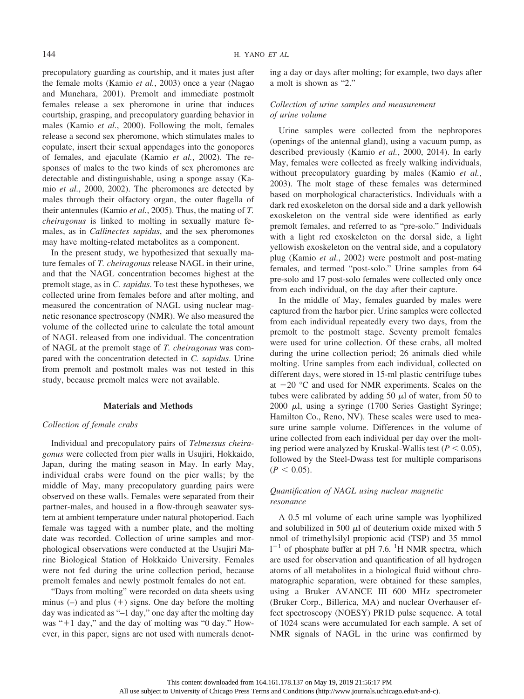precopulatory guarding as courtship, and it mates just after the female molts (Kamio *et al.*, 2003) once a year (Nagao and Munehara, 2001). Premolt and immediate postmolt females release a sex pheromone in urine that induces courtship, grasping, and precopulatory guarding behavior in males (Kamio *et al.*, 2000). Following the molt, females release a second sex pheromone, which stimulates males to copulate, insert their sexual appendages into the gonopores of females, and ejaculate (Kamio *et al.*, 2002). The responses of males to the two kinds of sex pheromones are detectable and distinguishable, using a sponge assay (Kamio *et al.*, 2000, 2002). The pheromones are detected by males through their olfactory organ, the outer flagella of their antennules (Kamio *et al.*, 2005). Thus, the mating of *T. cheiragonus* is linked to molting in sexually mature females, as in *Callinectes sapidus*, and the sex pheromones may have molting-related metabolites as a component.

In the present study, we hypothesized that sexually mature females of *T. cheiragonus* release NAGL in their urine, and that the NAGL concentration becomes highest at the premolt stage, as in *C. sapidus*. To test these hypotheses, we collected urine from females before and after molting, and measured the concentration of NAGL using nuclear magnetic resonance spectroscopy (NMR). We also measured the volume of the collected urine to calculate the total amount of NAGL released from one individual. The concentration of NAGL at the premolt stage of *T. cheiragonus* was compared with the concentration detected in *C. sapidus*. Urine from premolt and postmolt males was not tested in this study, because premolt males were not available.

#### **Materials and Methods**

### *Collection of female crabs*

Individual and precopulatory pairs of *Telmessus cheiragonus* were collected from pier walls in Usujiri, Hokkaido, Japan, during the mating season in May. In early May, individual crabs were found on the pier walls; by the middle of May, many precopulatory guarding pairs were observed on these walls. Females were separated from their partner-males, and housed in a flow-through seawater system at ambient temperature under natural photoperiod. Each female was tagged with a number plate, and the molting date was recorded. Collection of urine samples and morphological observations were conducted at the Usujiri Marine Biological Station of Hokkaido University. Females were not fed during the urine collection period, because premolt females and newly postmolt females do not eat.

"Days from molting" were recorded on data sheets using minus  $(-)$  and plus  $(+)$  signs. One day before the molting day was indicated as "–1 day," one day after the molting day was " $+1$  day," and the day of molting was "0 day." However, in this paper, signs are not used with numerals denoting a day or days after molting; for example, two days after a molt is shown as "2."

# *Collection of urine samples and measurement of urine volume*

Urine samples were collected from the nephropores (openings of the antennal gland), using a vacuum pump, as described previously (Kamio *et al.*, 2000, 2014). In early May, females were collected as freely walking individuals, without precopulatory guarding by males (Kamio *et al.*, 2003). The molt stage of these females was determined based on morphological characteristics. Individuals with a dark red exoskeleton on the dorsal side and a dark yellowish exoskeleton on the ventral side were identified as early premolt females, and referred to as "pre-solo." Individuals with a light red exoskeleton on the dorsal side, a light yellowish exoskeleton on the ventral side, and a copulatory plug (Kamio *et al.*, 2002) were postmolt and post-mating females, and termed "post-solo." Urine samples from 64 pre-solo and 17 post-solo females were collected only once from each individual, on the day after their capture.

In the middle of May, females guarded by males were captured from the harbor pier. Urine samples were collected from each individual repeatedly every two days, from the premolt to the postmolt stage. Seventy premolt females were used for urine collection. Of these crabs, all molted during the urine collection period; 26 animals died while molting. Urine samples from each individual, collected on different days, were stored in 15-ml plastic centrifuge tubes at  $-20$  °C and used for NMR experiments. Scales on the tubes were calibrated by adding 50  $\mu$ l of water, from 50 to  $2000$   $\mu$ l, using a syringe (1700 Series Gastight Syringe; Hamilton Co., Reno, NV). These scales were used to measure urine sample volume. Differences in the volume of urine collected from each individual per day over the molting period were analyzed by Kruskal-Wallis test  $(P < 0.05)$ , followed by the Steel-Dwass test for multiple comparisons  $(P < 0.05)$ .

# *Quantification of NAGL using nuclear magnetic resonance*

A 0.5 ml volume of each urine sample was lyophilized and solubilized in 500  $\mu$ l of deuterium oxide mixed with 5 nmol of trimethylsilyl propionic acid (TSP) and 35 mmol  $1^{-1}$  of phosphate buffer at pH 7.6. <sup>1</sup>H NMR spectra, which are used for observation and quantification of all hydrogen atoms of all metabolites in a biological fluid without chromatographic separation, were obtained for these samples, using a Bruker AVANCE III 600 MHz spectrometer (Bruker Corp., Billerica, MA) and nuclear Overhauser effect spectroscopy (NOESY) PR1D pulse sequence. A total of 1024 scans were accumulated for each sample. A set of NMR signals of NAGL in the urine was confirmed by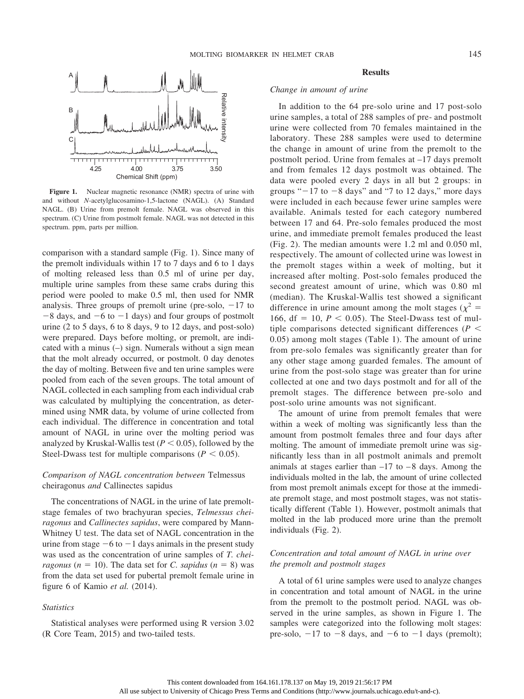

Figure 1. Nuclear magnetic resonance (NMR) spectra of urine with and without *N-*acetylglucosamino-1,5-lactone (NAGL). (A) Standard NAGL. (B) Urine from premolt female. NAGL was observed in this spectrum. (C) Urine from postmolt female. NAGL was not detected in this spectrum. ppm, parts per million.

comparison with a standard sample (Fig. 1). Since many of the premolt individuals within 17 to 7 days and 6 to 1 days of molting released less than 0.5 ml of urine per day, multiple urine samples from these same crabs during this period were pooled to make 0.5 ml, then used for NMR analysis. Three groups of premolt urine (pre-solo,  $-17$  to  $-8$  days, and  $-6$  to  $-1$  days) and four groups of postmolt urine (2 to 5 days, 6 to 8 days, 9 to 12 days, and post-solo) were prepared. Days before molting, or premolt, are indicated with a minus (–) sign. Numerals without a sign mean that the molt already occurred, or postmolt. 0 day denotes the day of molting. Between five and ten urine samples were pooled from each of the seven groups. The total amount of NAGL collected in each sampling from each individual crab was calculated by multiplying the concentration, as determined using NMR data, by volume of urine collected from each individual. The difference in concentration and total amount of NAGL in urine over the molting period was analyzed by Kruskal-Wallis test  $(P < 0.05)$ , followed by the Steel-Dwass test for multiple comparisons ( $P < 0.05$ ).

# *Comparison of NAGL concentration between* Telmessus cheiragonus *and* Callinectes sapidus

The concentrations of NAGL in the urine of late premoltstage females of two brachyuran species, *Telmessus cheiragonus* and *Callinectes sapidus*, were compared by Mann-Whitney U test. The data set of NAGL concentration in the urine from stage  $-6$  to  $-1$  days animals in the present study was used as the concentration of urine samples of *T. cheiragonus* ( $n = 10$ ). The data set for *C. sapidus* ( $n = 8$ ) was from the data set used for pubertal premolt female urine in figure 6 of Kamio *et al.* (2014).

#### *Statistics*

Statistical analyses were performed using R version 3.02 (R Core Team, 2015) and two-tailed tests.

### **Results**

# *Change in amount of urine*

In addition to the 64 pre-solo urine and 17 post-solo urine samples, a total of 288 samples of pre- and postmolt urine were collected from 70 females maintained in the laboratory. These 288 samples were used to determine the change in amount of urine from the premolt to the postmolt period. Urine from females at –17 days premolt and from females 12 days postmolt was obtained. The data were pooled every 2 days in all but 2 groups: in groups " $-17$  to  $-8$  days" and "7 to 12 days," more days were included in each because fewer urine samples were available. Animals tested for each category numbered between 17 and 64. Pre-solo females produced the most urine, and immediate premolt females produced the least (Fig. 2). The median amounts were 1.2 ml and 0.050 ml, respectively. The amount of collected urine was lowest in the premolt stages within a week of molting, but it increased after molting. Post-solo females produced the second greatest amount of urine, which was 0.80 ml (median). The Kruskal-Wallis test showed a significant difference in urine amount among the molt stages ( $\chi^2$  = 166,  $df = 10$ ,  $P < 0.05$ ). The Steel-Dwass test of multiple comparisons detected significant differences ( $P$  < 0.05) among molt stages (Table 1). The amount of urine from pre-solo females was significantly greater than for any other stage among guarded females. The amount of urine from the post-solo stage was greater than for urine collected at one and two days postmolt and for all of the premolt stages. The difference between pre-solo and post-solo urine amounts was not significant.

The amount of urine from premolt females that were within a week of molting was significantly less than the amount from postmolt females three and four days after molting. The amount of immediate premolt urine was significantly less than in all postmolt animals and premolt animals at stages earlier than  $-17$  to  $-8$  days. Among the individuals molted in the lab, the amount of urine collected from most premolt animals except for those at the immediate premolt stage, and most postmolt stages, was not statistically different (Table 1). However, postmolt animals that molted in the lab produced more urine than the premolt individuals (Fig. 2).

# *Concentration and total amount of NAGL in urine over the premolt and postmolt stages*

A total of 61 urine samples were used to analyze changes in concentration and total amount of NAGL in the urine from the premolt to the postmolt period. NAGL was observed in the urine samples, as shown in Figure 1. The samples were categorized into the following molt stages: pre-solo,  $-17$  to  $-8$  days, and  $-6$  to  $-1$  days (premolt);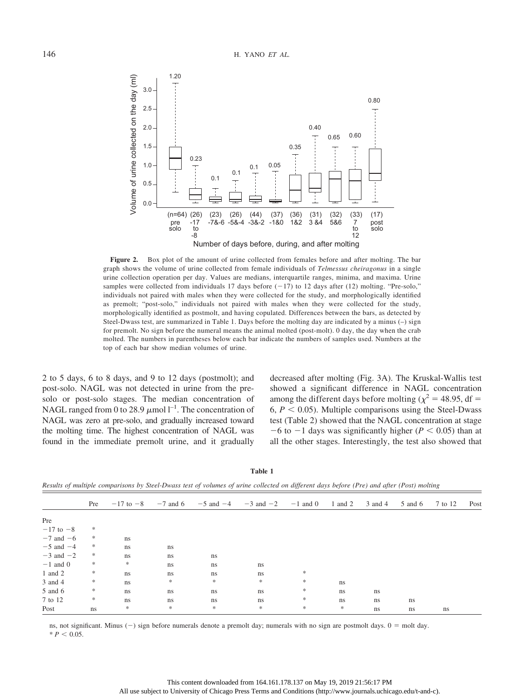

Figure 2. Box plot of the amount of urine collected from females before and after molting. The bar graph shows the volume of urine collected from female individuals of *Telmessus cheiragonus* in a single urine collection operation per day. Values are medians, interquartile ranges, minima, and maxima. Urine samples were collected from individuals  $17$  days before  $(-17)$  to  $12$  days after  $(12)$  molting. "Pre-solo," individuals not paired with males when they were collected for the study, and morphologically identified as premolt; "post-solo," individuals not paired with males when they were collected for the study, morphologically identified as postmolt, and having copulated. Differences between the bars, as detected by Steel-Dwass test, are summarized in Table 1. Days before the molting day are indicated by a minus (–) sign for premolt. No sign before the numeral means the animal molted (post-molt). 0 day, the day when the crab molted. The numbers in parentheses below each bar indicate the numbers of samples used. Numbers at the top of each bar show median volumes of urine.

2 to 5 days, 6 to 8 days, and 9 to 12 days (postmolt); and post-solo. NAGL was not detected in urine from the presolo or post-solo stages. The median concentration of NAGL ranged from 0 to 28.9  $\mu$ mol l<sup>-1</sup>. The concentration of NAGL was zero at pre-solo, and gradually increased toward the molting time. The highest concentration of NAGL was found in the immediate premolt urine, and it gradually

decreased after molting (Fig. 3A). The Kruskal-Wallis test showed a significant difference in NAGL concentration among the different days before molting ( $\chi^2$  = 48.95, df = 6,  $P < 0.05$ ). Multiple comparisons using the Steel-Dwass test (Table 2) showed that the NAGL concentration at stage  $-6$  to  $-1$  days was significantly higher ( $P < 0.05$ ) than at all the other stages. Interestingly, the test also showed that

**Table 1**

*Results of multiple comparisons by Steel-Dwass test of volumes of urine collected on different days before (Pre) and after (Post) molting*

|               | Pre           |        |    |        | $-17$ to $-8$ $-7$ and 6 $-5$ and $-4$ $-3$ and $-2$ $-1$ and 0 1 and 2 |               |    | 3 and 4       | 5 and 6 | 7 to 12 | Post |
|---------------|---------------|--------|----|--------|-------------------------------------------------------------------------|---------------|----|---------------|---------|---------|------|
| Pre           |               |        |    |        |                                                                         |               |    |               |         |         |      |
| $-17$ to $-8$ | *             |        |    |        |                                                                         |               |    |               |         |         |      |
| $-7$ and $-6$ | $\ast$        | ns     |    |        |                                                                         |               |    |               |         |         |      |
| $-5$ and $-4$ | $\ast$        | ns     | ns |        |                                                                         |               |    |               |         |         |      |
| $-3$ and $-2$ | $\ast$        | ns     | ns | ns     |                                                                         |               |    |               |         |         |      |
| $-1$ and 0    | $\ast$        | $\ast$ | ns | ns     | ns                                                                      |               |    |               |         |         |      |
| 1 and $2$     | $\ast$        | ns     | ns | ns     | ns                                                                      | *             |    |               |         |         |      |
| 3 and 4       | $\ast$        | ns     | *  | $\ast$ | $\ast$                                                                  | $\ast$        | ns |               |         |         |      |
| 5 and 6       | $\ast$        | ns     | ns | ns     | ns                                                                      | $\frac{1}{2}$ | ns | ns            |         |         |      |
| 7 to 12       | $\frac{1}{2}$ | ns     | ns | ns     | ns                                                                      | $\frac{1}{2}$ | ns | ns            | ns      |         |      |
| Post          | ns            | $\ast$ | 冰  | $*$    | $*$                                                                     | $*$           | *  | <sub>ns</sub> | ns      | ns      |      |

ns, not significant. Minus  $(-)$  sign before numerals denote a premolt day; numerals with no sign are postmolt days.  $0 = \text{mol}$  day.  $* P < 0.05.$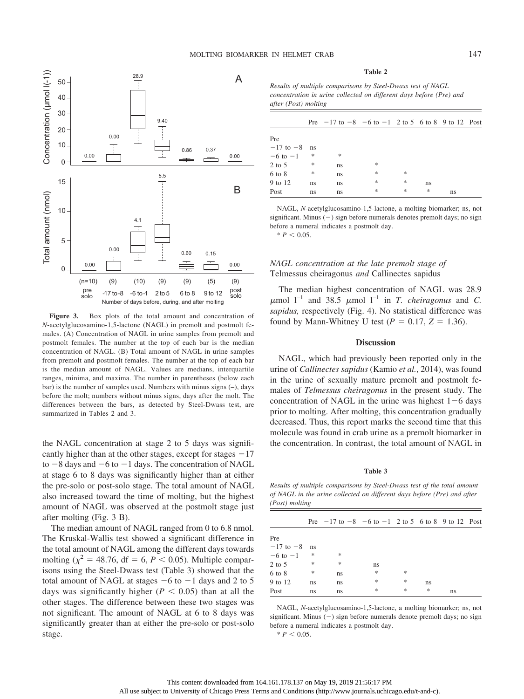

**Figure 3.** Box plots of the total amount and concentration of *N*-acetylglucosamino-1,5-lactone (NAGL) in premolt and postmolt females. (A) Concentration of NAGL in urine samples from premolt and postmolt females. The number at the top of each bar is the median concentration of NAGL. (B) Total amount of NAGL in urine samples from premolt and postmolt females. The number at the top of each bar is the median amount of NAGL. Values are medians, interquartile ranges, minima, and maxima. The number in parentheses (below each bar) is the number of samples used. Numbers with minus signs (–), days before the molt; numbers without minus signs, days after the molt. The differences between the bars, as detected by Steel-Dwass test, are summarized in Tables 2 and 3.

the NAGL concentration at stage 2 to 5 days was significantly higher than at the other stages, except for stages  $-17$ to  $-8$  days and  $-6$  to  $-1$  days. The concentration of NAGL at stage 6 to 8 days was significantly higher than at either the pre-solo or post-solo stage. The total amount of NAGL also increased toward the time of molting, but the highest amount of NAGL was observed at the postmolt stage just after molting (Fig. 3 B).

The median amount of NAGL ranged from 0 to 6.8 nmol. The Kruskal-Wallis test showed a significant difference in the total amount of NAGL among the different days towards molting ( $\chi^2$  = 48.76, df = 6, *P* < 0.05). Multiple comparisons using the Steel-Dwass test (Table 3) showed that the total amount of NAGL at stages  $-6$  to  $-1$  days and 2 to 5 days was significantly higher ( $P < 0.05$ ) than at all the other stages. The difference between these two stages was not significant. The amount of NAGL at 6 to 8 days was significantly greater than at either the pre-solo or post-solo stage.

#### **Table 2**

*Results of multiple comparisons by Steel-Dwass test of NAGL concentration in urine collected on different days before (Pre) and after (Post) molting*

|               |               | Pre $-17$ to $-8$ $-6$ to $-1$ 2 to 5 6 to 8 9 to 12 Post |   |   |    |    |  |
|---------------|---------------|-----------------------------------------------------------|---|---|----|----|--|
| Pre           |               |                                                           |   |   |    |    |  |
| $-17$ to $-8$ | ns            |                                                           |   |   |    |    |  |
| $-6$ to $-1$  | *             | *                                                         |   |   |    |    |  |
| $2$ to 5      | *             | ns                                                        | * |   |    |    |  |
| 6 to 8        | $\frac{1}{2}$ | ns                                                        | * | * |    |    |  |
| 9 to 12       | ns            | ns                                                        | * | * | ns |    |  |
| Post          | ns            | ns                                                        | * | * | *  | ns |  |

NAGL, *N*-acetylglucosamino-1,5-lactone, a molting biomarker; ns, not significant. Minus (-) sign before numerals denotes premolt days; no sign before a numeral indicates a postmolt day.  $* P < 0.05$ .

# *NAGL concentration at the late premolt stage of* Telmessus cheiragonus *and* Callinectes sapidus

The median highest concentration of NAGL was 28.9  $\mu$ mol  $l^{-1}$  and 38.5  $\mu$ mol  $l^{-1}$  in *T. cheiragonus* and *C. sapidus,* respectively (Fig. 4). No statistical difference was found by Mann-Whitney U test  $(P = 0.17, Z = 1.36)$ .

#### **Discussion**

NAGL, which had previously been reported only in the urine of *Callinectes sapidus* (Kamio *et al.*, 2014), was found in the urine of sexually mature premolt and postmolt females of *Telmessus cheiragonus* in the present study. The concentration of NAGL in the urine was highest  $1-6$  days prior to molting. After molting, this concentration gradually decreased. Thus, this report marks the second time that this molecule was found in crab urine as a premolt biomarker in the concentration. In contrast, the total amount of NAGL in

#### **Table 3**

*Results of multiple comparisons by Steel-Dwass test of the total amount of NAGL in the urine collected on different days before (Pre) and after (Post) molting*

|               |    | Pre $-17$ to $-8$ $-6$ to $-1$ 2 to 5 6 to 8 9 to 12 Post |     |   |    |    |  |
|---------------|----|-----------------------------------------------------------|-----|---|----|----|--|
|               |    |                                                           |     |   |    |    |  |
| Pre           |    |                                                           |     |   |    |    |  |
| $-17$ to $-8$ | ns |                                                           |     |   |    |    |  |
| $-6$ to $-1$  | *  | 宋                                                         |     |   |    |    |  |
| $2$ to 5      | *  | *                                                         | ns  |   |    |    |  |
| $6$ to $8$    | *  | ns                                                        | ∗   | * |    |    |  |
| 9 to 12       | ns | ns                                                        | ∗   | * | ns |    |  |
| Post          | ns | ns                                                        | $*$ | * | *  | ns |  |
|               |    |                                                           |     |   |    |    |  |

NAGL, *N*-acetylglucosamino-1,5-lactone, a molting biomarker; ns, not significant. Minus  $(-)$  sign before numerals denote premolt days; no sign before a numeral indicates a postmolt day.  $* P < 0.05$ .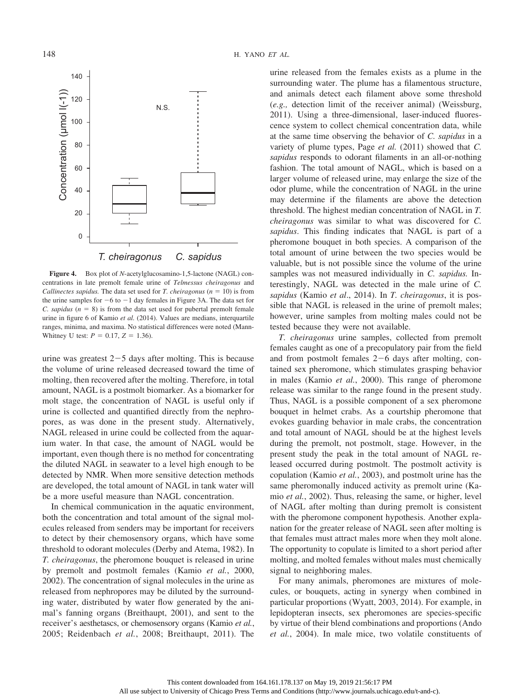

**Figure 4.** Box plot of *N*-acetylglucosamino-1,5-lactone (NAGL) concentrations in late premolt female urine of *Telmessus cheiragonus* and *Callinectes sapidus.* The data set used for *T. cheiragonus* ( $n = 10$ ) is from the urine samples for  $-6$  to  $-1$  day females in Figure 3A. The data set for *C. sapidus*  $(n = 8)$  is from the data set used for pubertal premolt female urine in figure 6 of Kamio *et al.* (2014). Values are medians, interquartile ranges, minima, and maxima. No statistical differences were noted (Mann-Whitney U test:  $P = 0.17$ ,  $Z = 1.36$ .

urine was greatest 2-5 days after molting. This is because the volume of urine released decreased toward the time of molting, then recovered after the molting. Therefore, in total amount, NAGL is a postmolt biomarker. As a biomarker for molt stage, the concentration of NAGL is useful only if urine is collected and quantified directly from the nephropores, as was done in the present study. Alternatively, NAGL released in urine could be collected from the aquarium water. In that case, the amount of NAGL would be important, even though there is no method for concentrating the diluted NAGL in seawater to a level high enough to be detected by NMR. When more sensitive detection methods are developed, the total amount of NAGL in tank water will be a more useful measure than NAGL concentration.

In chemical communication in the aquatic environment, both the concentration and total amount of the signal molecules released from senders may be important for receivers to detect by their chemosensory organs, which have some threshold to odorant molecules (Derby and Atema, 1982). In *T. cheiragonus*, the pheromone bouquet is released in urine by premolt and postmolt females (Kamio *et al.*, 2000, 2002). The concentration of signal molecules in the urine as released from nephropores may be diluted by the surrounding water, distributed by water flow generated by the animal's fanning organs (Breithaupt, 2001), and sent to the receiver's aesthetascs, or chemosensory organs (Kamio *et al.*, 2005; Reidenbach *et al.*, 2008; Breithaupt, 2011). The urine released from the females exists as a plume in the surrounding water. The plume has a filamentous structure, and animals detect each filament above some threshold (*e.g.,* detection limit of the receiver animal) (Weissburg, 2011). Using a three-dimensional, laser-induced fluorescence system to collect chemical concentration data, while at the same time observing the behavior of *C. sapidus* in a variety of plume types, Page *et al.* (2011) showed that *C. sapidus* responds to odorant filaments in an all-or-nothing fashion. The total amount of NAGL, which is based on a larger volume of released urine, may enlarge the size of the odor plume, while the concentration of NAGL in the urine may determine if the filaments are above the detection threshold. The highest median concentration of NAGL in *T. cheiragonus* was similar to what was discovered for *C. sapidus*. This finding indicates that NAGL is part of a pheromone bouquet in both species. A comparison of the total amount of urine between the two species would be valuable, but is not possible since the volume of the urine samples was not measured individually in *C. sapidus.* Interestingly, NAGL was detected in the male urine of *C. sapidus* (Kamio *et al*., 2014). In *T. cheiragonus*, it is possible that NAGL is released in the urine of premolt males; however, urine samples from molting males could not be tested because they were not available.

*T. cheiragonus* urine samples, collected from premolt females caught as one of a precopulatory pair from the field and from postmolt females 2-6 days after molting, contained sex pheromone, which stimulates grasping behavior in males (Kamio *et al.*, 2000). This range of pheromone release was similar to the range found in the present study. Thus, NAGL is a possible component of a sex pheromone bouquet in helmet crabs. As a courtship pheromone that evokes guarding behavior in male crabs, the concentration and total amount of NAGL should be at the highest levels during the premolt, not postmolt, stage. However, in the present study the peak in the total amount of NAGL released occurred during postmolt. The postmolt activity is copulation (Kamio *et al.*, 2003), and postmolt urine has the same pheromonally induced activity as premolt urine (Kamio *et al.*, 2002). Thus, releasing the same, or higher, level of NAGL after molting than during premolt is consistent with the pheromone component hypothesis. Another explanation for the greater release of NAGL seen after molting is that females must attract males more when they molt alone. The opportunity to copulate is limited to a short period after molting, and molted females without males must chemically signal to neighboring males.

For many animals, pheromones are mixtures of molecules, or bouquets, acting in synergy when combined in particular proportions (Wyatt, 2003, 2014). For example, in lepidopteran insects, sex pheromones are species-specific by virtue of their blend combinations and proportions (Ando *et al.*, 2004). In male mice, two volatile constituents of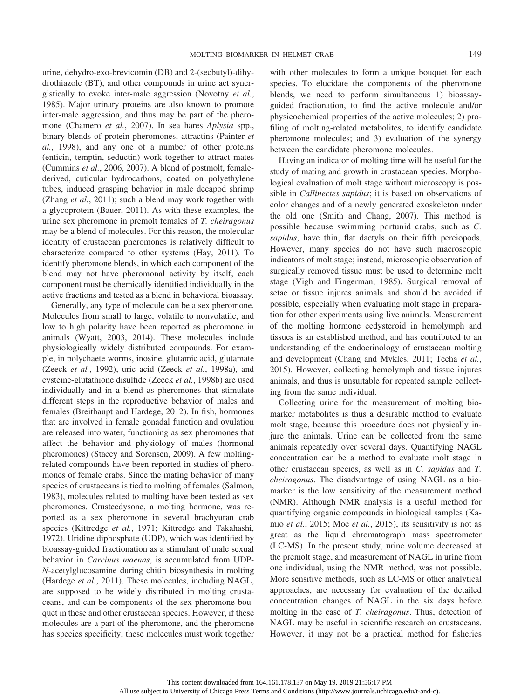urine, dehydro-exo-brevicomin (DB) and 2-(secbutyl)-dihydrothiazole (BT), and other compounds in urine act synergistically to evoke inter-male aggression (Novotny *et al.*, 1985). Major urinary proteins are also known to promote inter-male aggression, and thus may be part of the pheromone (Chamero *et al.*, 2007). In sea hares *Aplysia* spp., binary blends of protein pheromones, attractins (Painter *et al.*, 1998), and any one of a number of other proteins (enticin, temptin, seductin) work together to attract mates (Cummins *et al.*, 2006, 2007). A blend of postmolt, femalederived, cuticular hydrocarbons, coated on polyethylene tubes, induced grasping behavior in male decapod shrimp (Zhang *et al.*, 2011); such a blend may work together with a glycoprotein (Bauer, 2011). As with these examples, the urine sex pheromone in premolt females of *T. cheiragonus* may be a blend of molecules. For this reason, the molecular identity of crustacean pheromones is relatively difficult to characterize compared to other systems (Hay, 2011). To identify pheromone blends, in which each component of the blend may not have pheromonal activity by itself, each component must be chemically identified individually in the

active fractions and tested as a blend in behavioral bioassay. Generally, any type of molecule can be a sex pheromone. Molecules from small to large, volatile to nonvolatile, and low to high polarity have been reported as pheromone in animals (Wyatt, 2003, 2014). These molecules include physiologically widely distributed compounds. For example, in polychaete worms, inosine, glutamic acid, glutamate (Zeeck *et al.*, 1992), uric acid (Zeeck *et al.*, 1998a), and cysteine-glutathione disulfide (Zeeck *et al.*, 1998b) are used individually and in a blend as pheromones that stimulate different steps in the reproductive behavior of males and females (Breithaupt and Hardege, 2012). In fish, hormones that are involved in female gonadal function and ovulation are released into water, functioning as sex pheromones that affect the behavior and physiology of males (hormonal pheromones) (Stacey and Sorensen, 2009). A few moltingrelated compounds have been reported in studies of pheromones of female crabs. Since the mating behavior of many species of crustaceans is tied to molting of females (Salmon, 1983), molecules related to molting have been tested as sex pheromones. Crustecdysone, a molting hormone, was reported as a sex pheromone in several brachyuran crab species (Kittredge *et al.*, 1971; Kittredge and Takahashi, 1972). Uridine diphosphate (UDP), which was identified by bioassay-guided fractionation as a stimulant of male sexual behavior in *Carcinus maenas*, is accumulated from UDP-*N*-acetylglucosamine during chitin biosynthesis in molting (Hardege *et al.*, 2011). These molecules, including NAGL, are supposed to be widely distributed in molting crustaceans, and can be components of the sex pheromone bouquet in these and other crustacean species. However, if these molecules are a part of the pheromone, and the pheromone has species specificity, these molecules must work together

with other molecules to form a unique bouquet for each species. To elucidate the components of the pheromone blends, we need to perform simultaneous 1) bioassayguided fractionation, to find the active molecule and/or physicochemical properties of the active molecules; 2) profiling of molting-related metabolites, to identify candidate pheromone molecules; and 3) evaluation of the synergy between the candidate pheromone molecules.

Having an indicator of molting time will be useful for the study of mating and growth in crustacean species. Morphological evaluation of molt stage without microscopy is possible in *Callinectes sapidus*; it is based on observations of color changes and of a newly generated exoskeleton under the old one (Smith and Chang, 2007). This method is possible because swimming portunid crabs, such as *C. sapidus*, have thin, flat dactyls on their fifth pereiopods. However, many species do not have such macroscopic indicators of molt stage; instead, microscopic observation of surgically removed tissue must be used to determine molt stage (Vigh and Fingerman, 1985). Surgical removal of setae or tissue injures animals and should be avoided if possible, especially when evaluating molt stage in preparation for other experiments using live animals. Measurement of the molting hormone ecdysteroid in hemolymph and tissues is an established method, and has contributed to an understanding of the endocrinology of crustacean molting and development (Chang and Mykles, 2011; Techa *et al.*, 2015). However, collecting hemolymph and tissue injures animals, and thus is unsuitable for repeated sample collecting from the same individual.

Collecting urine for the measurement of molting biomarker metabolites is thus a desirable method to evaluate molt stage, because this procedure does not physically injure the animals. Urine can be collected from the same animals repeatedly over several days. Quantifying NAGL concentration can be a method to evaluate molt stage in other crustacean species, as well as in *C. sapidus* and *T. cheiragonus*. The disadvantage of using NAGL as a biomarker is the low sensitivity of the measurement method (NMR). Although NMR analysis is a useful method for quantifying organic compounds in biological samples (Kamio *et al.*, 2015; Moe *et al.*, 2015), its sensitivity is not as great as the liquid chromatograph mass spectrometer (LC-MS). In the present study, urine volume decreased at the premolt stage, and measurement of NAGL in urine from one individual, using the NMR method, was not possible. More sensitive methods, such as LC-MS or other analytical approaches, are necessary for evaluation of the detailed concentration changes of NAGL in the six days before molting in the case of *T. cheiragonus*. Thus, detection of NAGL may be useful in scientific research on crustaceans. However, it may not be a practical method for fisheries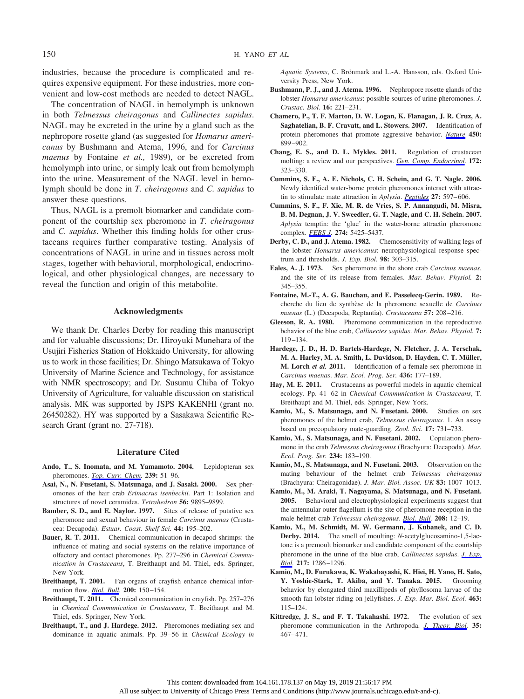industries, because the procedure is complicated and requires expensive equipment. For these industries, more convenient and low-cost methods are needed to detect NAGL.

The concentration of NAGL in hemolymph is unknown in both *Telmessus cheiragonus* and *Callinectes sapidus*. NAGL may be excreted in the urine by a gland such as the nephropore rosette gland (as suggested for *Homarus americanus* by Bushmann and Atema, 1996, and for *Carcinus maenus* by Fontaine *et al.,* 1989), or be excreted from hemolymph into urine, or simply leak out from hemolymph into the urine. Measurement of the NAGL level in hemolymph should be done in *T. cheiragonus* and *C. sapidus* to answer these questions.

Thus, NAGL is a premolt biomarker and candidate component of the courtship sex pheromone in *T. cheiragonus* and *C. sapidus*. Whether this finding holds for other crustaceans requires further comparative testing. Analysis of concentrations of NAGL in urine and in tissues across molt stages, together with behavioral, morphological, endocrinological, and other physiological changes, are necessary to reveal the function and origin of this metabolite.

#### **Acknowledgments**

We thank Dr. Charles Derby for reading this manuscript and for valuable discussions; Dr. Hiroyuki Munehara of the Usujiri Fisheries Station of Hokkaido University, for allowing us to work in those facilities; Dr. Shingo Matsukawa of Tokyo University of Marine Science and Technology, for assistance with NMR spectroscopy; and Dr. Susumu Chiba of Tokyo University of Agriculture, for valuable discussion on statistical analysis. MK was supported by JSPS KAKENHI (grant no. 26450282). HY was supported by a Sasakawa Scientific Research Grant (grant no. 27-718).

#### **Literature Cited**

- **Ando, T., S. Inomata, and M. Yamamoto. 2004.** Lepidopteran sex pheromones. *[Top. Curr. Chem.](https://www.journals.uchicago.edu/action/showLinks?doi=10.1086%2FBBLv230n2p143&pmid=22160231&citationId=p_1)* **239:** 51–96.
- **Asai, N., N. Fusetani, S. Matsunaga, and J. Sasaki. 2000.** Sex pheromones of the hair crab *Erimacrus isenbeckii.* Part 1: Isolation and structures of novel ceramides. *Tetrahedron* **56:** 9895–9899.
- **Bamber, S. D., and E. Naylor. 1997.** Sites of release of putative sex pheromone and sexual behaviour in female *Carcinus maenas* (Crustacea: Decapoda). *Estuar. Coast. Shelf Sci.* **44:** 195–202.
- **Bauer, R. T. 2011.** Chemical communication in decapod shrimps: the influence of mating and social systems on the relative importance of olfactory and contact pheromones. Pp. 277–296 in *Chemical Communication in Crustaceans*, T. Breithaupt and M. Thiel, eds. Springer, New York.
- **Breithaupt, T. 2001.** Fan organs of crayfish enhance chemical information flow. *[Biol. Bull](https://www.journals.uchicago.edu/action/showLinks?doi=10.1086%2FBBLv230n2p143&system=10.2307%2F1543308&citationId=p_5).* **200:** 150 –154.
- **Breithaupt, T. 2011.** Chemical communication in crayfish. Pp. 257–276 in *Chemical Communication in Crustaceans*, T. Breithaupt and M. Thiel, eds. Springer, New York.
- **Breithaupt, T., and J. Hardege. 2012.** Pheromones mediating sex and dominance in aquatic animals. Pp. 39 –56 in *Chemical Ecology in*

Aquatic Systems, C. Brönmark and L.-A. Hansson, eds. Oxford University Press, New York.

- **Bushmann, P. J., and J. Atema. 1996.** Nephropore rosette glands of the lobster *Homarus americanus*: possible sources of urine pheromones. *J. Crustac. Biol.* **16:** 221–231.
- **Chamero, P., T. F. Marton, D. W. Logan, K. Flanagan, J. R. Cruz, A. Saghatelian, B. F. Cravatt, and L. Stowers. 2007.** Identification of protein pheromones that promote aggressive behavior. *[Nature](https://www.journals.uchicago.edu/action/showLinks?doi=10.1086%2FBBLv230n2p143&pmid=18064011&citationId=p_9)* **450:** 899 –902.
- **Chang, E. S., and D. L. Mykles. 2011.** Regulation of crustacean molting: a review and our perspectives. *[Gen. Comp. Endocrinol.](https://www.journals.uchicago.edu/action/showLinks?doi=10.1086%2FBBLv230n2p143&pmid=21501612&citationId=p_10)* **172:** 323–330.
- **Cummins, S. F., A. E. Nichols, C. H. Schein, and G. T. Nagle. 2006.** Newly identified water-borne protein pheromones interact with attractin to stimulate mate attraction in *Aplysia*. *[Peptides](https://www.journals.uchicago.edu/action/showLinks?doi=10.1086%2FBBLv230n2p143&pmid=16309784&citationId=p_11)* **27:** 597– 606.
- **Cummins, S. F., F. Xie, M. R. de Vries, S. P. Annangudi, M. Misra, B. M. Degnan, J. V. Sweedler, G. T. Nagle, and C. H. Schein. 2007.** *Aplysia* temptin: the 'glue' in the water-borne attractin pheromone complex. *[FEBS J](https://www.journals.uchicago.edu/action/showLinks?doi=10.1086%2FBBLv230n2p143&pmid=17894821&citationId=p_12).* **274:** 5425–5437.
- **Derby, C. D., and J. Atema. 1982.** Chemosensitivity of walking legs of the lobster *Homarus americanus*: neurophysiological response spectrum and thresholds. *J. Exp. Biol.* **98:** 303–315.
- **Eales, A. J. 1973.** Sex pheromone in the shore crab *Carcinus maenas*, and the site of its release from females. *Mar. Behav. Physiol.* **2:** 345–355.
- **Fontaine, M.-T., A. G. Bauchau, and E. Passelecq-Gerin. 1989.** Recherche du lieu de synthe`se de la pheromone sexuelle de *Carcinus maenas* (L.) (Decapoda, Reptantia). *Crustaceana* **57:** 208 –216.
- **Gleeson, R. A. 1980.** Pheromone communication in the reproductive behavior of the blue crab, *Callinectes sapidus*. *Mar. Behav. Physiol.* **7:** 119 –134.
- **Hardege, J. D., H. D. Bartels-Hardege, N. Fletcher, J. A. Terschak, M. A. Harley, M. A. Smith, L. Davidson, D. Hayden, C. T. Mu¨ller, M. Lorch** *et al.* **2011.** Identification of a female sex pheromone in *Carcinus maenas*. *Mar. Ecol. Prog. Ser.* **436:** 177–189.
- **Hay, M. E. 2011.** Crustaceans as powerful models in aquatic chemical ecology. Pp. 41-62 in *Chemical Communication in Crustaceans*, T. Breithaupt and M. Thiel, eds. Springer, New York.
- **Kamio, M., S. Matsunaga, and N. Fusetani. 2000.** Studies on sex pheromones of the helmet crab, *Telmessus cheiragonus.* 1. An assay based on precopulatory mate-guarding. *Zool. Sci.* **17:** 731–733.
- **Kamio, M., S. Matsunaga, and N. Fusetani. 2002.** Copulation pheromone in the crab *Telmessus cheiragonus* (Brachyura: Decapoda). *Mar. Ecol. Prog. Ser.* **234:** 183–190.
- **Kamio, M., S. Matsunaga, and N. Fusetani. 2003.** Observation on the mating behaviour of the helmet crab *Telmessus cheiragonus* (Brachyura: Cheiragonidae). *J. Mar. Biol. Assoc. UK* **83:** 1007–1013.
- **Kamio, M., M. Araki, T. Nagayama, S. Matsunaga, and N. Fusetani. 2005.** Behavioral and electrophysiological experiments suggest that the antennular outer flagellum is the site of pheromone reception in the male helmet crab *Telmessus cheiragonus*. *[Biol. Bull](https://www.journals.uchicago.edu/action/showLinks?doi=10.1086%2FBBLv230n2p143&system=10.2307%2F3593096&citationId=p_23).* **208:** 12–19.
- **Kamio, M., M. Schmidt, M. W. Germann, J. Kubanek, and C. D. Derby. 2014.** The smell of moulting: *N*-acetylglucosamino-1,5-lactone is a premoult biomarker and candidate component of the courtship pheromone in the urine of the blue crab, *Callinectes sapidus*. *[J. Exp.](https://www.journals.uchicago.edu/action/showLinks?doi=10.1086%2FBBLv230n2p143&pmid=24363413&citationId=p_24) [Biol](https://www.journals.uchicago.edu/action/showLinks?doi=10.1086%2FBBLv230n2p143&pmid=24363413&citationId=p_24).* **217:** 1286 –1296.
- **Kamio, M., D. Furukawa, K. Wakabayashi, K. Hiei, H. Yano, H. Sato, Y. Yoshie-Stark, T. Akiba, and Y. Tanaka. 2015.** Grooming behavior by elongated third maxillipeds of phyllosoma larvae of the smooth fan lobster riding on jellyfishes. *J. Exp. Mar. Biol. Ecol.* **463:** 115–124.
- **Kittredge, J. S., and F. T. Takahashi. 1972.** The evolution of sex pheromone communication in the Arthropoda. *[J. Theor. Biol](https://www.journals.uchicago.edu/action/showLinks?doi=10.1086%2FBBLv230n2p143&pmid=5041661&citationId=p_26).* **35:**  $467 - 471$ .